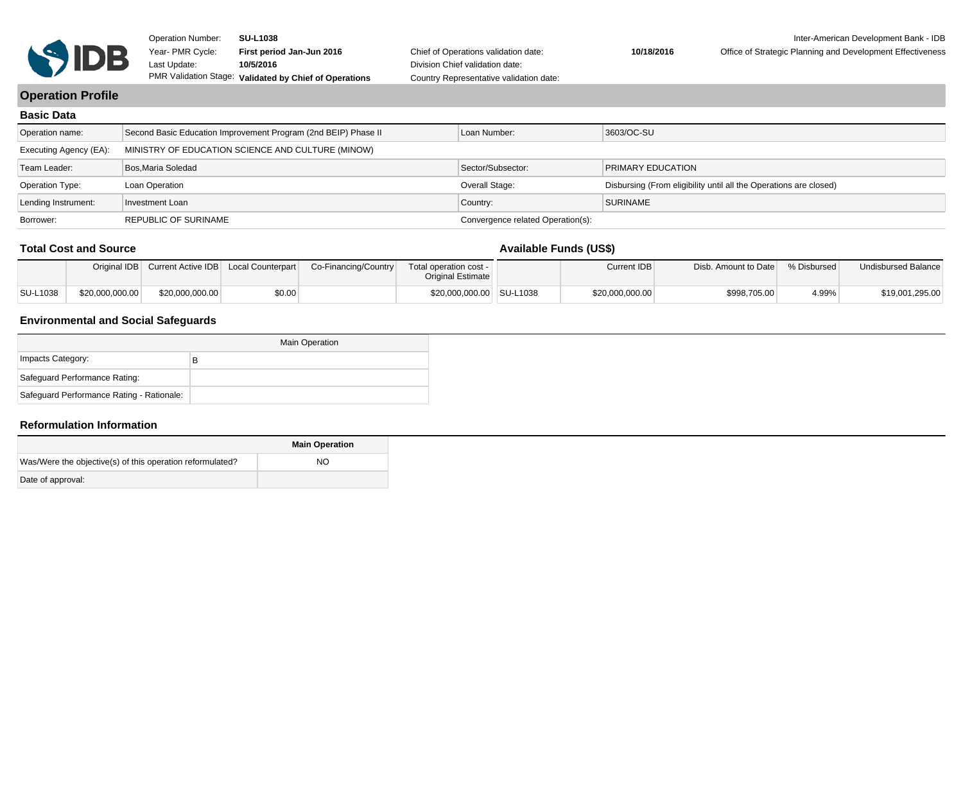

Chief of Operations validation date: Division Chief validation date: Country Representative validation date:

#### **10/18/2016** Office of Strategic Planning and Development Effectiveness

## **Operation Profile**

| <b>Basic Data</b>      |                                                                |                                   |                                                                   |
|------------------------|----------------------------------------------------------------|-----------------------------------|-------------------------------------------------------------------|
| Operation name:        | Second Basic Education Improvement Program (2nd BEIP) Phase II | Loan Number:                      | 3603/OC-SU                                                        |
| Executing Agency (EA): | MINISTRY OF EDUCATION SCIENCE AND CULTURE (MINOW)              |                                   |                                                                   |
| Team Leader:           | Bos.Maria Soledad                                              | Sector/Subsector:                 | <b>PRIMARY EDUCATION</b>                                          |
| <b>Operation Type:</b> | Loan Operation                                                 | Overall Stage:                    | Disbursing (From eligibility until all the Operations are closed) |
| Lending Instrument:    | Investment Loan                                                | Country:                          | SURINAME                                                          |
| Borrower:              | <b>REPUBLIC OF SURINAME</b>                                    | Convergence related Operation(s): |                                                                   |

#### **Total Cost and Source**

## **Available Funds (US\$)**

|          |                 | Original IDB Current Active IDB Local Counterpart |        | Co-Financing/Country | Total operation cost -<br>Original Estimate | Current IDB     | Disb. Amount to Date | % Disbursed | Undisbursed Balance |
|----------|-----------------|---------------------------------------------------|--------|----------------------|---------------------------------------------|-----------------|----------------------|-------------|---------------------|
| SU-L1038 | \$20,000,000.00 | \$20,000,000.00                                   | \$0.00 |                      | \$20,000,000.00 SU-L1038                    | \$20,000,000.00 | \$998,705.00         | 4.99%       | \$19,001,295.00     |

### **Environmental and Social Safeguards**

|                                           | <b>Main Operation</b> |
|-------------------------------------------|-----------------------|
| Impacts Category:                         | в                     |
| Safeguard Performance Rating:             |                       |
| Safeguard Performance Rating - Rationale: |                       |

#### **Reformulation Information**

|                                                            | <b>Main Operation</b> |
|------------------------------------------------------------|-----------------------|
| Was/Were the objective (s) of this operation reformulated? | NO.                   |
| Date of approval:                                          |                       |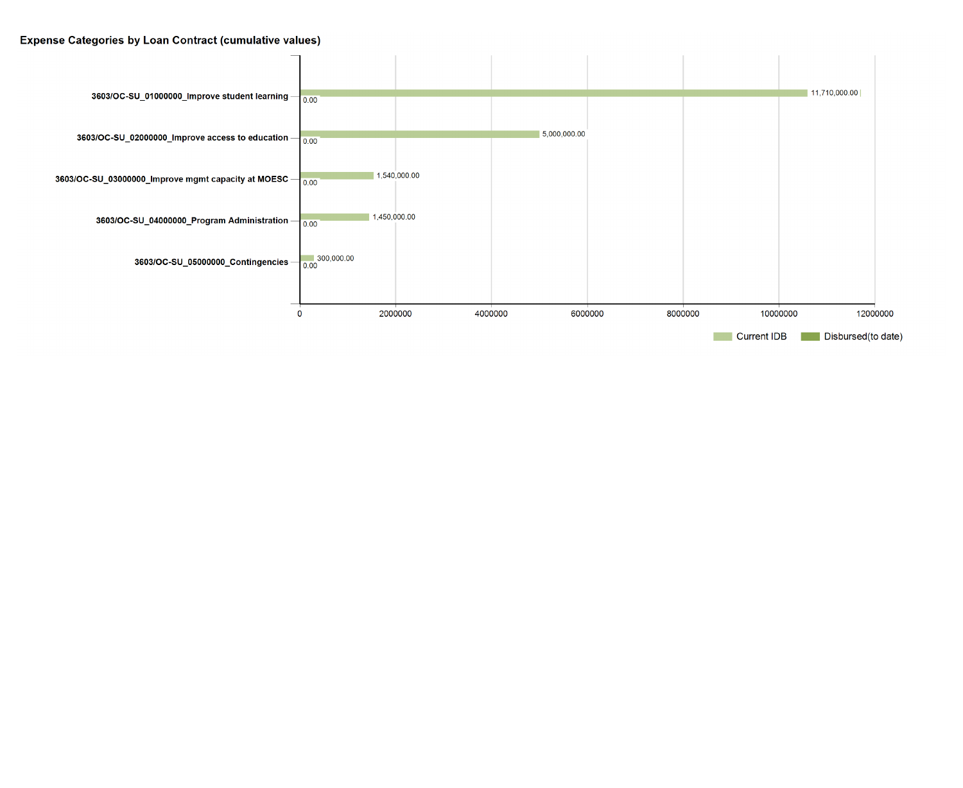## **Expense Categories by Loan Contract (cumulative values)**

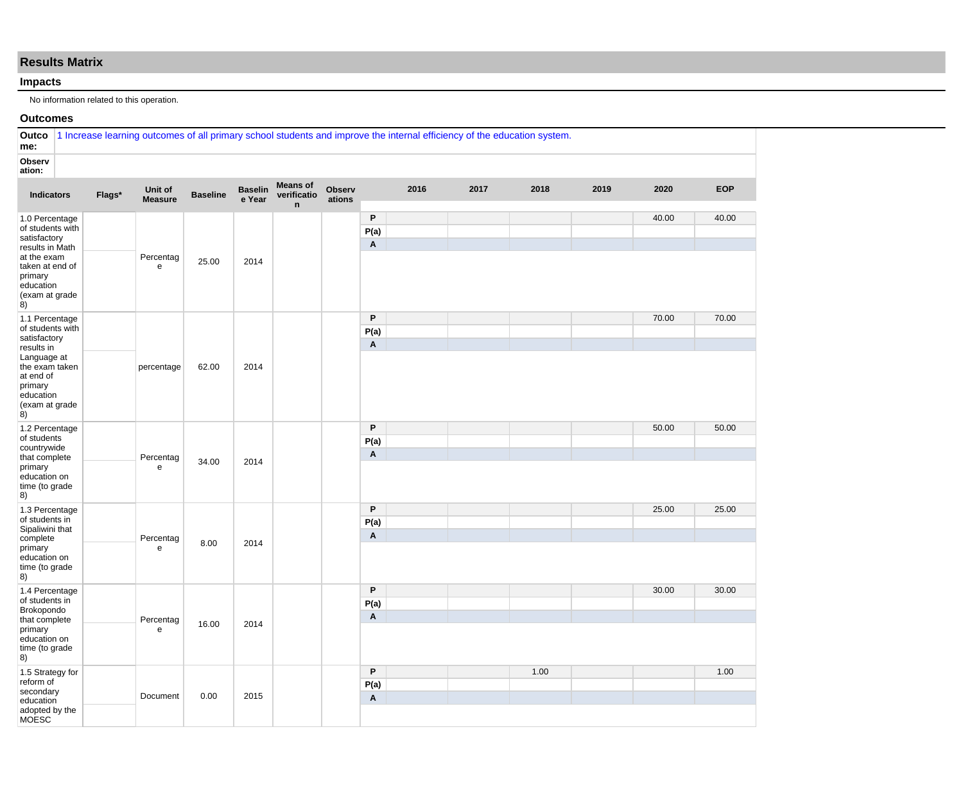## **Results Matrix**

#### **Impacts**

No information related to this operation.

#### **Outcomes**

| Outco<br>me:                                                                                                                                            | 1 Increase learning outcomes of all primary school students and improve the internal efficiency of the education system. |                           |                 |                          |                                                |                         |                                   |      |      |      |      |       |            |
|---------------------------------------------------------------------------------------------------------------------------------------------------------|--------------------------------------------------------------------------------------------------------------------------|---------------------------|-----------------|--------------------------|------------------------------------------------|-------------------------|-----------------------------------|------|------|------|------|-------|------------|
| Observ<br>ation:                                                                                                                                        |                                                                                                                          |                           |                 |                          |                                                |                         |                                   |      |      |      |      |       |            |
| <b>Indicators</b>                                                                                                                                       | Flags*                                                                                                                   | Unit of<br><b>Measure</b> | <b>Baseline</b> | <b>Baselin</b><br>e Year | <b>Means of</b><br>verificatio<br>$\mathsf{n}$ | <b>Observ</b><br>ations |                                   | 2016 | 2017 | 2018 | 2019 | 2020  | <b>EOP</b> |
| 1.0 Percentage<br>of students with<br>satisfactory<br>results in Math<br>at the exam<br>taken at end of<br>primary<br>education<br>(exam at grade<br>8) |                                                                                                                          | Percentag<br>e            | 25.00           | 2014                     |                                                |                         | P<br>P(a)<br>Α                    |      |      |      |      | 40.00 | 40.00      |
| 1.1 Percentage<br>of students with<br>satisfactory<br>results in                                                                                        |                                                                                                                          |                           |                 |                          |                                                |                         | P<br>P(a)<br>Α                    |      |      |      |      | 70.00 | 70.00      |
| Language at<br>the exam taken<br>at end of<br>primary<br>education<br>(exam at grade<br>8)                                                              |                                                                                                                          | percentage                | 62.00           | 2014                     |                                                |                         |                                   |      |      |      |      |       |            |
| 1.2 Percentage<br>of students<br>countrywide<br>that complete<br>primary<br>education on<br>time (to grade                                              |                                                                                                                          | Percentag<br>e            | 34.00           | 2014                     |                                                |                         | P<br>P(a)<br>A                    |      |      |      |      | 50.00 | 50.00      |
| 8)<br>1.3 Percentage<br>of students in<br>Sipaliwini that<br>complete<br>primary<br>education on                                                        |                                                                                                                          | Percentag<br>${\bf e}$    | 8.00            | 2014                     |                                                |                         | P<br>P(a)<br>A                    |      |      |      |      | 25.00 | 25.00      |
| time (to grade<br>8)<br>1.4 Percentage<br>of students in<br>Brokopondo<br>that complete<br>primary                                                      |                                                                                                                          | Percentag<br>${\bf e}$    | 16.00           | 2014                     |                                                |                         | P<br>P(a)<br>A                    |      |      |      |      | 30.00 | 30.00      |
| education on<br>time (to grade<br>8)<br>1.5 Strategy for                                                                                                |                                                                                                                          |                           |                 |                          |                                                |                         | P                                 |      |      | 1.00 |      |       | 1.00       |
| reform of<br>secondary<br>education<br>adopted by the<br><b>MOESC</b>                                                                                   |                                                                                                                          | Document                  | 0.00            | 2015                     |                                                |                         | P(a)<br>$\boldsymbol{\mathsf{A}}$ |      |      |      |      |       |            |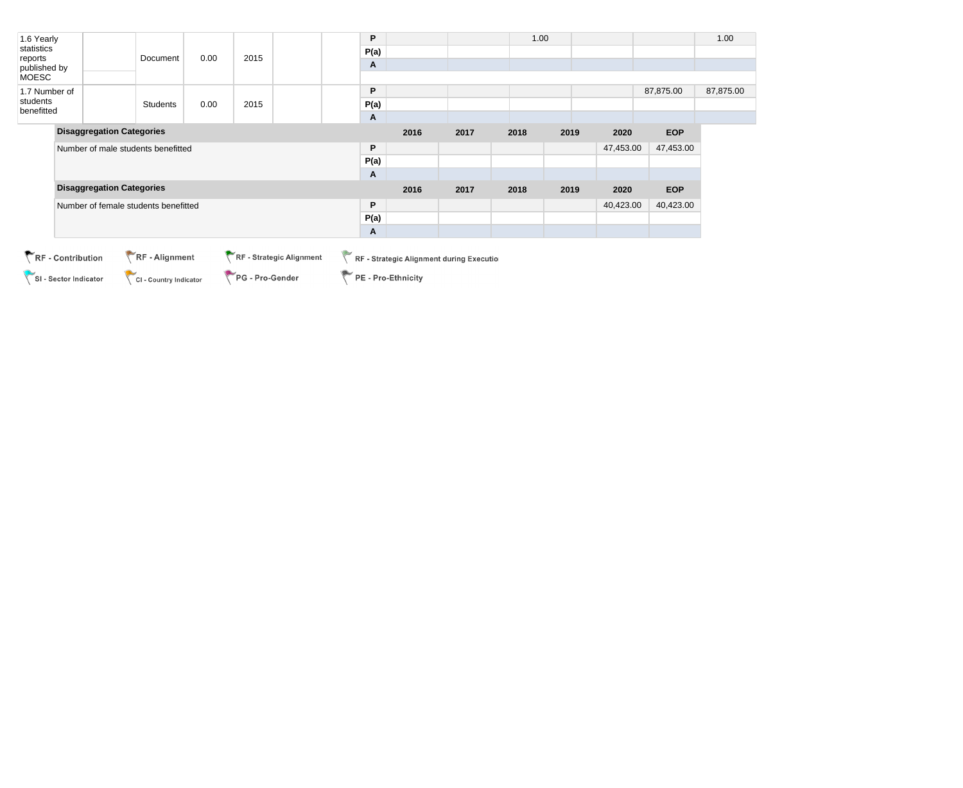| 1.6 Yearly              |                                      |                 |      |      | P    |      |      | 1.00 |      |           |            | 1.00      |
|-------------------------|--------------------------------------|-----------------|------|------|------|------|------|------|------|-----------|------------|-----------|
| statistics              |                                      |                 | P(a) |      |      |      |      |      |      |           |            |           |
| reports<br>published by |                                      | Document        | 0.00 | 2015 | A    |      |      |      |      |           |            |           |
| <b>MOESC</b>            |                                      |                 |      |      |      |      |      |      |      |           |            |           |
| 1.7 Number of           |                                      |                 |      |      | P    |      |      |      |      |           | 87,875.00  | 87,875.00 |
| students<br>benefitted  |                                      | <b>Students</b> | 0.00 | 2015 | P(a) |      |      |      |      |           |            |           |
|                         |                                      |                 |      |      | A    |      |      |      |      |           |            |           |
|                         | <b>Disaggregation Categories</b>     |                 |      |      |      | 2016 | 2017 | 2018 | 2019 | 2020      | <b>EOP</b> |           |
|                         | Number of male students benefitted   |                 |      |      | P    |      |      |      |      | 47,453.00 | 47,453.00  |           |
|                         |                                      |                 |      |      | P(a) |      |      |      |      |           |            |           |
|                         |                                      |                 |      |      | Α    |      |      |      |      |           |            |           |
|                         | <b>Disaggregation Categories</b>     |                 |      |      |      | 2016 | 2017 | 2018 | 2019 | 2020      | <b>EOP</b> |           |
|                         | Number of female students benefitted |                 |      |      | P    |      |      |      |      | 40,423.00 | 40,423.00  |           |
|                         |                                      |                 |      |      | P(a) |      |      |      |      |           |            |           |
|                         |                                      |                 |      |      | Α    |      |      |      |      |           |            |           |

SI - Sector Indicator

CI - Country Indicator PG - Pro-Gender RF - Strategic Alignment during Execution

PE - Pro-Ethnicity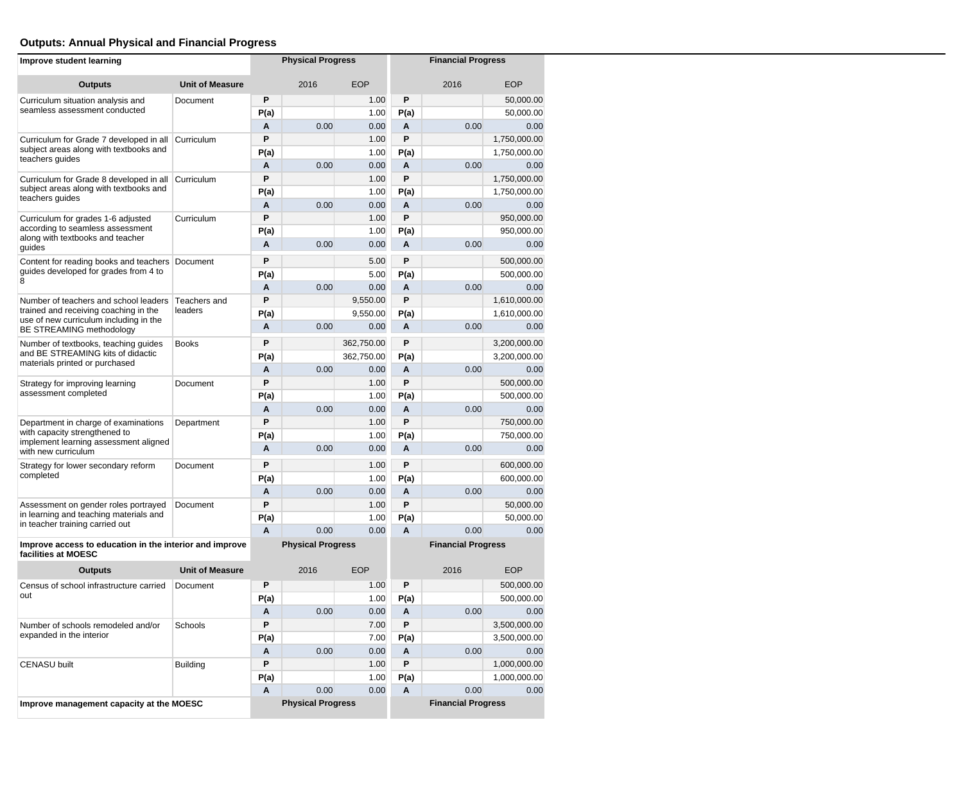# **Outputs: Annual Physical and Financial Progress**

| Improve student learning                                                        |                        |      | <b>Physical Progress</b>                              |            |      | <b>Financial Progress</b> |              |  |  |
|---------------------------------------------------------------------------------|------------------------|------|-------------------------------------------------------|------------|------|---------------------------|--------------|--|--|
| <b>Outputs</b>                                                                  | <b>Unit of Measure</b> |      | 2016                                                  | <b>EOP</b> |      | 2016                      | <b>EOP</b>   |  |  |
| Curriculum situation analysis and                                               | Document               | P    |                                                       | 1.00       | P    |                           | 50,000.00    |  |  |
| seamless assessment conducted                                                   |                        | P(a) |                                                       | 1.00       | P(a) |                           | 50,000.00    |  |  |
|                                                                                 |                        | Α    | 0.00                                                  | 0.00       | Α    | 0.00                      | 0.00         |  |  |
| Curriculum for Grade 7 developed in all                                         | Curriculum             | P    |                                                       | 1.00       | P    |                           | 1,750,000.00 |  |  |
| subject areas along with textbooks and<br>teachers guides                       |                        | P(a) |                                                       | 1.00       | P(a) |                           | 1,750,000.00 |  |  |
|                                                                                 |                        | A    | 0.00                                                  | 0.00       | A    | 0.00                      | 0.00         |  |  |
| Curriculum for Grade 8 developed in all                                         | Curriculum             | P    |                                                       | 1.00       | P    |                           | 1,750,000.00 |  |  |
| subject areas along with textbooks and<br>teachers quides                       |                        | P(a) |                                                       | 1.00       | P(a) |                           | 1,750,000.00 |  |  |
|                                                                                 |                        | A    | 0.00                                                  | 0.00       | A    | 0.00                      | 0.00         |  |  |
| Curriculum for grades 1-6 adjusted                                              | Curriculum             | P    |                                                       | 1.00       | P    |                           | 950,000.00   |  |  |
| according to seamless assessment<br>along with textbooks and teacher            |                        | P(a) |                                                       | 1.00       | P(a) |                           | 950,000.00   |  |  |
| guides                                                                          |                        | A    | 0.00                                                  | 0.00       | A    | 0.00                      | 0.00         |  |  |
| Content for reading books and teachers                                          | Document               | P    |                                                       | 5.00       | P    |                           | 500,000.00   |  |  |
| guides developed for grades from 4 to<br>8                                      |                        | P(a) |                                                       | 5.00       | P(a) |                           | 500,000.00   |  |  |
|                                                                                 |                        | A    | 0.00                                                  | 0.00       | A    | 0.00                      | 0.00         |  |  |
| Number of teachers and school leaders                                           | Teachers and           | P    |                                                       | 9,550.00   | P    |                           | 1,610,000.00 |  |  |
| trained and receiving coaching in the<br>use of new curriculum including in the | leaders                | P(a) |                                                       | 9,550.00   | P(a) |                           | 1,610,000.00 |  |  |
| BE STREAMING methodology                                                        |                        | A    | 0.00                                                  | 0.00       | A    | 0.00                      | 0.00         |  |  |
| Number of textbooks, teaching guides                                            | <b>Books</b>           | P    |                                                       | 362,750.00 | P    |                           | 3,200,000.00 |  |  |
| and BE STREAMING kits of didactic                                               |                        | P(a) |                                                       | 362,750.00 | P(a) |                           | 3,200,000.00 |  |  |
| materials printed or purchased                                                  |                        | A    | 0.00                                                  | 0.00       | A    | 0.00                      | 0.00         |  |  |
| Strategy for improving learning                                                 | Document               | P    |                                                       | 1.00       | P    |                           | 500,000.00   |  |  |
| assessment completed                                                            |                        | P(a) |                                                       | 1.00       | P(a) |                           | 500,000.00   |  |  |
|                                                                                 |                        | A    | 0.00                                                  | 0.00       | A    | 0.00                      | 0.00         |  |  |
| Department in charge of examinations                                            | Department             | P    |                                                       | 1.00       | P    |                           | 750,000.00   |  |  |
| with capacity strengthened to<br>implement learning assessment aligned          |                        | P(a) |                                                       | 1.00       | P(a) |                           | 750,000.00   |  |  |
| with new curriculum                                                             |                        | A    | 0.00                                                  | 0.00       | A    | 0.00                      | 0.00         |  |  |
| Strategy for lower secondary reform                                             | Document               | P    |                                                       | 1.00       | P    |                           | 600,000.00   |  |  |
| completed                                                                       |                        | P(a) |                                                       | 1.00       | P(a) |                           | 600,000.00   |  |  |
|                                                                                 |                        | A    | 0.00                                                  | 0.00       | A    | 0.00                      | 0.00         |  |  |
| Assessment on gender roles portrayed                                            | Document               | P    |                                                       | 1.00       | P    |                           | 50,000.00    |  |  |
| in learning and teaching materials and<br>in teacher training carried out       |                        | P(a) |                                                       | 1.00       | P(a) |                           | 50,000.00    |  |  |
|                                                                                 |                        | A    | 0.00                                                  | 0.00       | A    | 0.00                      | 0.00         |  |  |
| Improve access to education in the interior and improve<br>facilities at MOESC  |                        |      | <b>Physical Progress</b><br><b>Financial Progress</b> |            |      |                           |              |  |  |
| <b>Outputs</b>                                                                  | <b>Unit of Measure</b> |      | 2016                                                  | <b>EOP</b> |      | 2016                      | <b>EOP</b>   |  |  |
| Census of school infrastructure carried                                         | Document               | P    |                                                       | 1.00       | P    |                           | 500,000.00   |  |  |
| out                                                                             |                        | P(a) |                                                       | 1.00       | P(a) |                           | 500,000.00   |  |  |
|                                                                                 |                        | Α    | 0.00                                                  | 0.00       | Α    | 0.00                      | 0.00         |  |  |
| Number of schools remodeled and/or                                              | Schools                | P    |                                                       | 7.00       | P    |                           | 3,500,000.00 |  |  |
| expanded in the interior                                                        |                        | P(a) |                                                       | 7.00       | P(a) |                           | 3,500,000.00 |  |  |
|                                                                                 |                        | Α    | 0.00                                                  | 0.00       | Α    | 0.00                      | 0.00         |  |  |
| <b>CENASU built</b>                                                             | Building               | P    |                                                       | 1.00       | P    |                           | 1,000,000.00 |  |  |
|                                                                                 |                        | P(a) |                                                       | 1.00       | P(a) |                           | 1,000,000.00 |  |  |
|                                                                                 |                        | Α    | 0.00                                                  | 0.00       | Α    | 0.00                      | 0.00         |  |  |
| Improve management capacity at the MOESC                                        |                        |      | <b>Physical Progress</b>                              |            |      | <b>Financial Progress</b> |              |  |  |